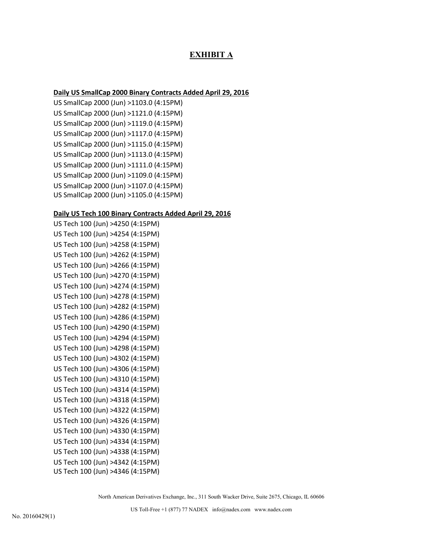# **EXHIBIT A**

## **Daily US SmallCap 2000 Binary Contracts Added April 29, 2016**

US SmallCap 2000 (Jun) >1103.0 (4:15PM) US SmallCap 2000 (Jun) >1121.0 (4:15PM) US SmallCap 2000 (Jun) >1119.0 (4:15PM) US SmallCap 2000 (Jun) >1117.0 (4:15PM) US SmallCap 2000 (Jun) >1115.0 (4:15PM) US SmallCap 2000 (Jun) >1113.0 (4:15PM) US SmallCap 2000 (Jun) >1111.0 (4:15PM) US SmallCap 2000 (Jun) >1109.0 (4:15PM) US SmallCap 2000 (Jun) >1107.0 (4:15PM) US SmallCap 2000 (Jun) >1105.0 (4:15PM)

### **Daily US Tech 100 Binary Contracts Added April 29, 2016**

US Tech 100 (Jun) >4250 (4:15PM) US Tech 100 (Jun) >4254 (4:15PM) US Tech 100 (Jun) >4258 (4:15PM) US Tech 100 (Jun) >4262 (4:15PM) US Tech 100 (Jun) >4266 (4:15PM) US Tech 100 (Jun) >4270 (4:15PM) US Tech 100 (Jun) >4274 (4:15PM) US Tech 100 (Jun) >4278 (4:15PM) US Tech 100 (Jun) >4282 (4:15PM) US Tech 100 (Jun) >4286 (4:15PM) US Tech 100 (Jun) >4290 (4:15PM) US Tech 100 (Jun) >4294 (4:15PM) US Tech 100 (Jun) >4298 (4:15PM) US Tech 100 (Jun) >4302 (4:15PM) US Tech 100 (Jun) >4306 (4:15PM) US Tech 100 (Jun) >4310 (4:15PM) US Tech 100 (Jun) >4314 (4:15PM) US Tech 100 (Jun) >4318 (4:15PM) US Tech 100 (Jun) >4322 (4:15PM) US Tech 100 (Jun) >4326 (4:15PM) US Tech 100 (Jun) >4330 (4:15PM) US Tech 100 (Jun) >4334 (4:15PM) US Tech 100 (Jun) >4338 (4:15PM) US Tech 100 (Jun) >4342 (4:15PM) US Tech 100 (Jun) >4346 (4:15PM)